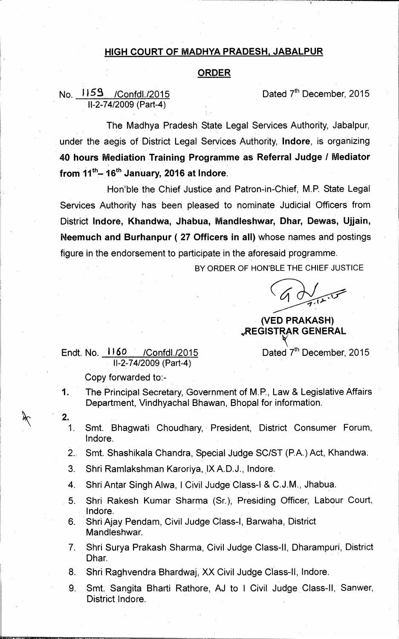## **HIGH COURT OF MADHYA PRADESH, JABALPUR**

## **ORDER**

## **No. 1159** *I*Confdl./2015 **Dated 7<sup>th</sup> December, 2015 11-2-74/2009 (Part-4)**

**The Madhya Pradesh State Legal Services Authority, Jabalpur, under the aegis of District Legal Services Authority, Indore, is organizing 40 hours Mediation Training Programme as Referral Judge / Mediator**  from 11<sup>th</sup> - 16<sup>th</sup> January, 2016 at Indore.

**Hon'ble the Chief Justice and Patron-in-Chief, M.P. State Legal Services Authority has been pleased to nominate Judicial Officers from District Indore, Khandwa, Jhabua, Mandleshvvar, Dhar, Dewas, Ujjain, Neemuch and Burhanpur ( 27 Officers in all) whose names and postings figure in the endorsement to participate in the aforesaid programme.** 

**BY ORDER OF HON'BLE THE CHIEF JUSTICE** 

## **• (VED PRAKASH) ',REGISTRAR GENERAL**

Endt. No. **1160** / Confdl./2015 **Dated 7<sup>th</sup> December, 2015 11-2-74/2009 (Part-4)** 

**Copy forwarded to:-** 

- **1. The Principal Secretary, Government of M.P., Law & Legislative Affairs Department, Vindhyachal Bhawan, Bhopal for information.**
- **2.** 
	- **1. Smt. Bhagwati Choudhary, President, District Consumer Forum, Indore.**
	- **2., Smt. Shashikala Chandra, Special Judge SC/ST (P.A.) Act, Khandwa.**
	- 3. Shri Ramlakshman Karoriya, IX A.D.J., Indore.
	- **4. Shri Antar Singh Alwa, I Civil Judge Class-I & C.J.M., Jhabua.**
	- **5. Shri Rakesh Kumar Sharma (Sr.), Presiding Officer, Labour Court, lndore.**
	- **6. Shri Ajay Pendam, Civil Judge Class-I, Barwaha, District Mandleshwar.**
	- **7. Shri Surya Prakash Sharma, Civil Judge Class-II, Dharampuri, District Dhar.**
	- **8. Shri Raghvendra Bhardwaj, XX Civil Judge Class-II, Indore.**
	- **9. Smt. Sangita Bharti Rathore, AJ to I Civil Judge Class-II, Sanwer, District Indore.**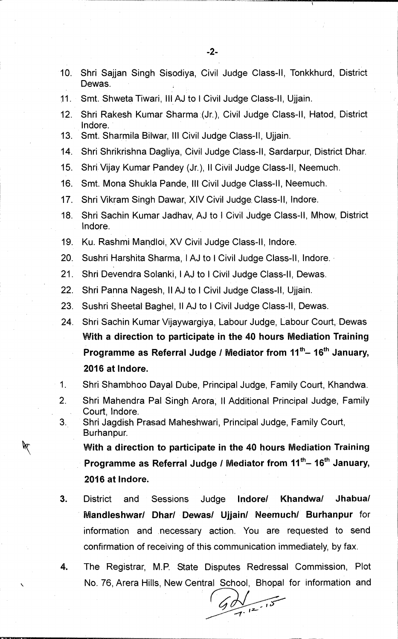- **10. Shri Sajjan Singh Sisodiya, Civil Judge Class-II, Tonkkhurd, District Dewas.**
- **11. Smt. Shweta Tiwari, III AJ to I Civil Judge Class-II, Ujjain.**
- **12. Shri Rakesh Kumar Sharma (Jr.), Civil Judge Class-II, Hatod, District Indore.**
- **13. Smt. Sharmila Bilwar, Ill Civil Judge Class-II, Ujjain.**
- **14. Shri Shrikrishna Dagliya, Civil Judge Class-II, Sardarpur, District Dhar.**
- **15. Shri Vijay Kumar Pandey (Jr.), II Civil Judge Class-II, Neemuch.**
- **16. Smt. Mona Shukla Pande, Ill Civil Judge Class-II, Neemuch.**
- **17. Shri Vikram Singh Dawar, XIV Civil Judge Class-II, lndore.**
- **18. Shri Sachin Kumar Jadhav, AJ to I Civil Judge Class-II, Mhow, District lndore.**
- **19. Ku. Rashmi Marldloi, XV Civil Judge Class-II, Indore.**
- **20. Sushri Harshita Sharma, I AJ to I Civil Judge Class-II, Indore.**
- **21. Shri Devendra Solanki, I AJ to I Civil Judge Class-II, Dewas.**
- **22. Shri Panna Nagesh, II AJ to I Civil Judge Class-II, Ujjain.**
- **23. Sushri Sheetal Baghel, II AJ to I Civil Judge Class-II, Dewas.**
- **24. Shri Sachin Kumar Vijaywargiya, Labour Judge, Labour Court, Dewas With a direction to participate in the 40 hours Mediation Training**  Programme as Referral Judge / Mediator from 11<sup>th</sup>-16<sup>th</sup> January, **2016 at Indore.**
- **1. Shri Shambhoo Dayal Dube, Principal Judge, Family Court, Khandwa.**
- **2. Shri Mahendra Pal Singh Arora, II Additional Principal Judge, Family Court, Indore.**
- **3. Shri Jagdish Prasad Maheshwari, Principal Judge, Family Court, Burhanpur.**

**With a direction to participate in the 40 hours Mediation Training**  Programme as Referral Judge / Mediator from 11<sup>th</sup>-16<sup>th</sup> January, **2016 at Indore.** 

- **3. District and Sessions Judge lndore/ Khandwa/ Jhabua/ Mandleshwar/ Dhar/ Dewas/ Ujjain/ Neemuch/ Burhanpur for information and necessary action. You are requested to send confirmation of receiving of this communication immediately, by fax.**
- **4. The Registrar, M.P. State Disputes Redressal Commission, Plot No. 76, Arera Hills, New Central School, Bhopal for information and**

 $\frac{1}{7}$   $\frac{12}{10}$